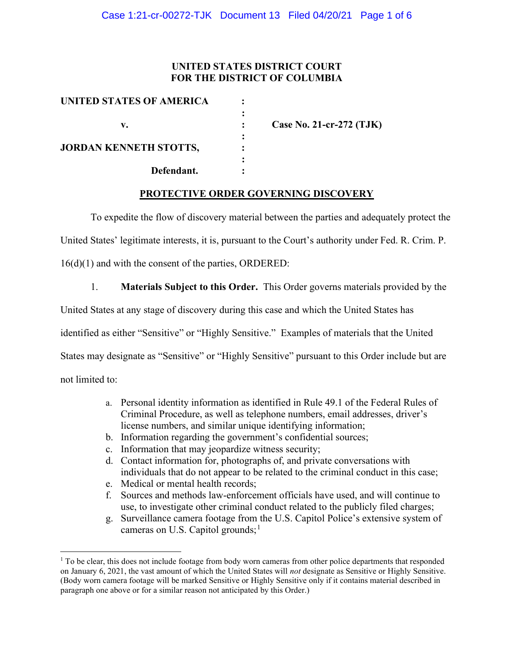## UNITED STATES DISTRICT COURT FOR THE DISTRICT OF COLUMBIA

| UNITED STATES OF AMERICA      |                          |
|-------------------------------|--------------------------|
|                               |                          |
| v.                            | Case No. 21-cr-272 (TJK) |
|                               |                          |
| <b>JORDAN KENNETH STOTTS,</b> |                          |
|                               |                          |
| Defendant.                    |                          |

### PROTECTIVE ORDER GOVERNING DISCOVERY

To expedite the flow of discovery material between the parties and adequately protect the

United States' legitimate interests, it is, pursuant to the Court's authority under Fed. R. Crim. P.

16(d)(1) and with the consent of the parties, ORDERED:

1. Materials Subject to this Order. This Order governs materials provided by the

United States at any stage of discovery during this case and which the United States has

identified as either "Sensitive" or "Highly Sensitive." Examples of materials that the United

States may designate as "Sensitive" or "Highly Sensitive" pursuant to this Order include but are

not limited to:

- a. Personal identity information as identified in Rule 49.1 of the Federal Rules of Criminal Procedure, as well as telephone numbers, email addresses, driver's license numbers, and similar unique identifying information;
- b. Information regarding the government's confidential sources;
- c. Information that may jeopardize witness security;
- d. Contact information for, photographs of, and private conversations with individuals that do not appear to be related to the criminal conduct in this case;
- e. Medical or mental health records;
- f. Sources and methods law-enforcement officials have used, and will continue to use, to investigate other criminal conduct related to the publicly filed charges;
- g. Surveillance camera footage from the U.S. Capitol Police's extensive system of cameras on U.S. Capitol grounds; $<sup>1</sup>$ </sup>

<sup>&</sup>lt;sup>1</sup> To be clear, this does not include footage from body worn cameras from other police departments that responded on January 6, 2021, the vast amount of which the United States will not designate as Sensitive or Highly Sensitive. (Body worn camera footage will be marked Sensitive or Highly Sensitive only if it contains material described in paragraph one above or for a similar reason not anticipated by this Order.)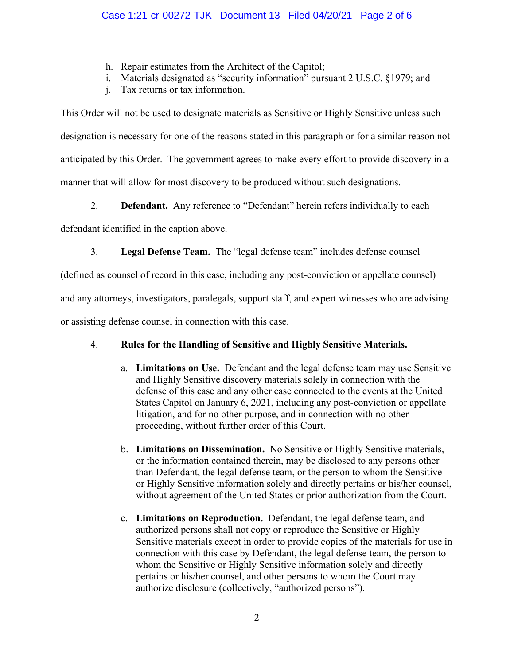- h. Repair estimates from the Architect of the Capitol;
- i. Materials designated as "security information" pursuant 2 U.S.C. §1979; and
- j. Tax returns or tax information.

This Order will not be used to designate materials as Sensitive or Highly Sensitive unless such designation is necessary for one of the reasons stated in this paragraph or for a similar reason not anticipated by this Order. The government agrees to make every effort to provide discovery in a manner that will allow for most discovery to be produced without such designations.

2. **Defendant.** Any reference to "Defendant" herein refers individually to each

defendant identified in the caption above.

3. Legal Defense Team. The "legal defense team" includes defense counsel

(defined as counsel of record in this case, including any post-conviction or appellate counsel)

and any attorneys, investigators, paralegals, support staff, and expert witnesses who are advising

or assisting defense counsel in connection with this case.

# 4. Rules for the Handling of Sensitive and Highly Sensitive Materials.

- a. Limitations on Use. Defendant and the legal defense team may use Sensitive and Highly Sensitive discovery materials solely in connection with the defense of this case and any other case connected to the events at the United States Capitol on January 6, 2021, including any post-conviction or appellate litigation, and for no other purpose, and in connection with no other proceeding, without further order of this Court.
- b. Limitations on Dissemination. No Sensitive or Highly Sensitive materials, or the information contained therein, may be disclosed to any persons other than Defendant, the legal defense team, or the person to whom the Sensitive or Highly Sensitive information solely and directly pertains or his/her counsel, without agreement of the United States or prior authorization from the Court.
- c. Limitations on Reproduction. Defendant, the legal defense team, and authorized persons shall not copy or reproduce the Sensitive or Highly Sensitive materials except in order to provide copies of the materials for use in connection with this case by Defendant, the legal defense team, the person to whom the Sensitive or Highly Sensitive information solely and directly pertains or his/her counsel, and other persons to whom the Court may authorize disclosure (collectively, "authorized persons").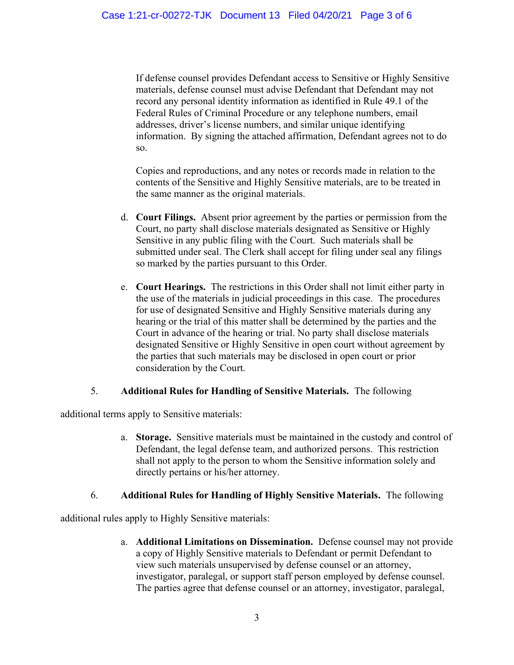If defense counsel provides Defendant access to Sensitive or Highly Sensitive materials, defense counsel must advise Defendant that Defendant may not record any personal identity information as identified in Rule 49.1 of the Federal Rules of Criminal Procedure or any telephone numbers, email addresses, driver's license numbers, and similar unique identifying information. By signing the attached affirmation, Defendant agrees not to do so.

Copies and reproductions, and any notes or records made in relation to the contents of the Sensitive and Highly Sensitive materials, are to be treated in the same manner as the original materials.

- d. Court Filings. Absent prior agreement by the parties or permission from the Court, no party shall disclose materials designated as Sensitive or Highly Sensitive in any public filing with the Court. Such materials shall be submitted under seal. The Clerk shall accept for filing under seal any filings so marked by the parties pursuant to this Order.
- e. Court Hearings. The restrictions in this Order shall not limit either party in the use of the materials in judicial proceedings in this case. The procedures for use of designated Sensitive and Highly Sensitive materials during any hearing or the trial of this matter shall be determined by the parties and the Court in advance of the hearing or trial. No party shall disclose materials designated Sensitive or Highly Sensitive in open court without agreement by the parties that such materials may be disclosed in open court or prior consideration by the Court.

### 5. Additional Rules for Handling of Sensitive Materials. The following

additional terms apply to Sensitive materials:

a. Storage. Sensitive materials must be maintained in the custody and control of Defendant, the legal defense team, and authorized persons. This restriction shall not apply to the person to whom the Sensitive information solely and directly pertains or his/her attorney.

## 6. Additional Rules for Handling of Highly Sensitive Materials. The following

additional rules apply to Highly Sensitive materials:

a. Additional Limitations on Dissemination. Defense counsel may not provide a copy of Highly Sensitive materials to Defendant or permit Defendant to view such materials unsupervised by defense counsel or an attorney, investigator, paralegal, or support staff person employed by defense counsel. The parties agree that defense counsel or an attorney, investigator, paralegal,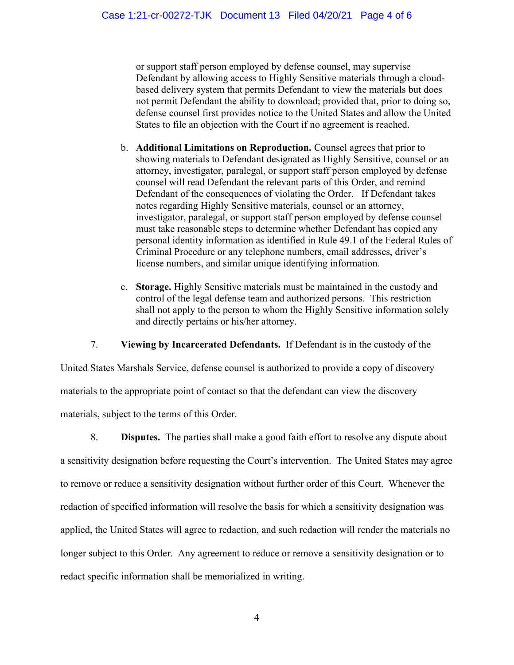or support staff person employed by defense counsel, may supervise Defendant by allowing access to Highly Sensitive materials through a cloudbased delivery system that permits Defendant to view the materials but does not permit Defendant the ability to download; provided that, prior to doing so, defense counsel first provides notice to the United States and allow the United States to file an objection with the Court if no agreement is reached.

- b. Additional Limitations on Reproduction. Counsel agrees that prior to showing materials to Defendant designated as Highly Sensitive, counsel or an attorney, investigator, paralegal, or support staff person employed by defense counsel will read Defendant the relevant parts of this Order, and remind Defendant of the consequences of violating the Order. If Defendant takes notes regarding Highly Sensitive materials, counsel or an attorney, investigator, paralegal, or support staff person employed by defense counsel must take reasonable steps to determine whether Defendant has copied any personal identity information as identified in Rule 49.1 of the Federal Rules of Criminal Procedure or any telephone numbers, email addresses, driver's license numbers, and similar unique identifying information.
- c. Storage. Highly Sensitive materials must be maintained in the custody and control of the legal defense team and authorized persons. This restriction shall not apply to the person to whom the Highly Sensitive information solely and directly pertains or his/her attorney.

7. Viewing by Incarcerated Defendants. If Defendant is in the custody of the

United States Marshals Service, defense counsel is authorized to provide a copy of discovery materials to the appropriate point of contact so that the defendant can view the discovery materials, subject to the terms of this Order.

8. Disputes. The parties shall make a good faith effort to resolve any dispute about a sensitivity designation before requesting the Court's intervention. The United States may agree to remove or reduce a sensitivity designation without further order of this Court. Whenever the redaction of specified information will resolve the basis for which a sensitivity designation was applied, the United States will agree to redaction, and such redaction will render the materials no longer subject to this Order. Any agreement to reduce or remove a sensitivity designation or to redact specific information shall be memorialized in writing.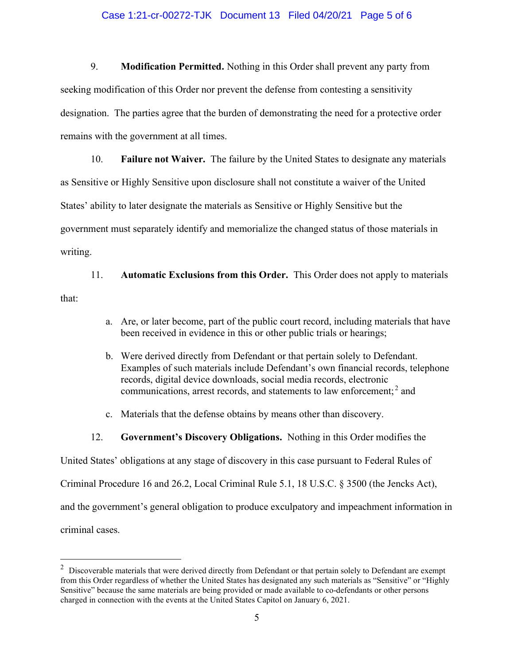#### Case 1:21-cr-00272-TJK Document 13 Filed 04/20/21 Page 5 of 6

9. Modification Permitted. Nothing in this Order shall prevent any party from seeking modification of this Order nor prevent the defense from contesting a sensitivity designation. The parties agree that the burden of demonstrating the need for a protective order remains with the government at all times.

10. Failure not Waiver. The failure by the United States to designate any materials as Sensitive or Highly Sensitive upon disclosure shall not constitute a waiver of the United States' ability to later designate the materials as Sensitive or Highly Sensitive but the government must separately identify and memorialize the changed status of those materials in writing.

11. Automatic Exclusions from this Order. This Order does not apply to materials that:

- a. Are, or later become, part of the public court record, including materials that have been received in evidence in this or other public trials or hearings;
- b. Were derived directly from Defendant or that pertain solely to Defendant. Examples of such materials include Defendant's own financial records, telephone records, digital device downloads, social media records, electronic communications, arrest records, and statements to law enforcement;<sup>2</sup> and
- c. Materials that the defense obtains by means other than discovery.
- 12. Government's Discovery Obligations. Nothing in this Order modifies the

United States' obligations at any stage of discovery in this case pursuant to Federal Rules of

Criminal Procedure 16 and 26.2, Local Criminal Rule 5.1, 18 U.S.C. § 3500 (the Jencks Act),

and the government's general obligation to produce exculpatory and impeachment information in

criminal cases.

 $2$  Discoverable materials that were derived directly from Defendant or that pertain solely to Defendant are exempt from this Order regardless of whether the United States has designated any such materials as "Sensitive" or "Highly Sensitive" because the same materials are being provided or made available to co-defendants or other persons charged in connection with the events at the United States Capitol on January 6, 2021.